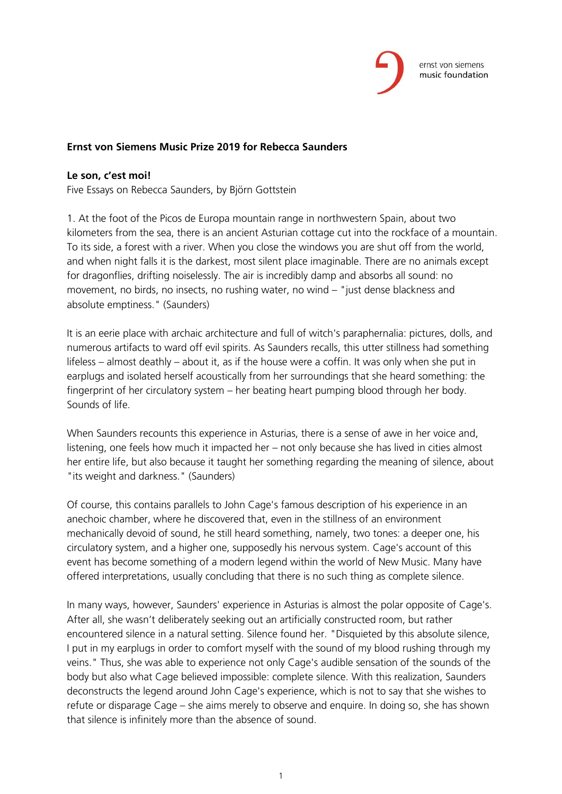

## **Ernst von Siemens Music Prize 2019 for Rebecca Saunders**

## **Le son, c'est moi!**

Five Essays on Rebecca Saunders, by Björn Gottstein

1. At the foot of the Picos de Europa mountain range in northwestern Spain, about two kilometers from the sea, there is an ancient Asturian cottage cut into the rockface of a mountain. To its side, a forest with a river. When you close the windows you are shut off from the world, and when night falls it is the darkest, most silent place imaginable. There are no animals except for dragonflies, drifting noiselessly. The air is incredibly damp and absorbs all sound: no movement, no birds, no insects, no rushing water, no wind – "just dense blackness and absolute emptiness." (Saunders)

It is an eerie place with archaic architecture and full of witch's paraphernalia: pictures, dolls, and numerous artifacts to ward off evil spirits. As Saunders recalls, this utter stillness had something lifeless – almost deathly – about it, as if the house were a coffin. It was only when she put in earplugs and isolated herself acoustically from her surroundings that she heard something: the fingerprint of her circulatory system – her beating heart pumping blood through her body. Sounds of life.

When Saunders recounts this experience in Asturias, there is a sense of awe in her voice and, listening, one feels how much it impacted her – not only because she has lived in cities almost her entire life, but also because it taught her something regarding the meaning of silence, about "its weight and darkness." (Saunders)

Of course, this contains parallels to John Cage's famous description of his experience in an anechoic chamber, where he discovered that, even in the stillness of an environment mechanically devoid of sound, he still heard something, namely, two tones: a deeper one, his circulatory system, and a higher one, supposedly his nervous system. Cage's account of this event has become something of a modern legend within the world of New Music. Many have offered interpretations, usually concluding that there is no such thing as complete silence.

In many ways, however, Saunders' experience in Asturias is almost the polar opposite of Cage's. After all, she wasn't deliberately seeking out an artificially constructed room, but rather encountered silence in a natural setting. Silence found her. "Disquieted by this absolute silence, I put in my earplugs in order to comfort myself with the sound of my blood rushing through my veins." Thus, she was able to experience not only Cage's audible sensation of the sounds of the body but also what Cage believed impossible: complete silence. With this realization, Saunders deconstructs the legend around John Cage's experience, which is not to say that she wishes to refute or disparage Cage – she aims merely to observe and enquire. In doing so, she has shown that silence is infinitely more than the absence of sound.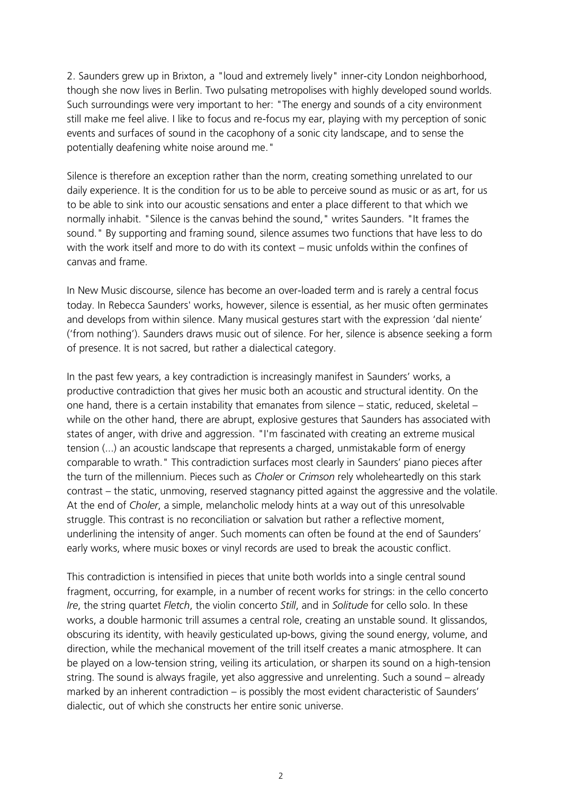2. Saunders grew up in Brixton, a "loud and extremely lively" inner-city London neighborhood, though she now lives in Berlin. Two pulsating metropolises with highly developed sound worlds. Such surroundings were very important to her: "The energy and sounds of a city environment still make me feel alive. I like to focus and re-focus my ear, playing with my perception of sonic events and surfaces of sound in the cacophony of a sonic city landscape, and to sense the potentially deafening white noise around me."

Silence is therefore an exception rather than the norm, creating something unrelated to our daily experience. It is the condition for us to be able to perceive sound as music or as art, for us to be able to sink into our acoustic sensations and enter a place different to that which we normally inhabit. "Silence is the canvas behind the sound," writes Saunders. "It frames the sound." By supporting and framing sound, silence assumes two functions that have less to do with the work itself and more to do with its context – music unfolds within the confines of canvas and frame.

In New Music discourse, silence has become an over-loaded term and is rarely a central focus today. In Rebecca Saunders' works, however, silence is essential, as her music often germinates and develops from within silence. Many musical gestures start with the expression 'dal niente' ('from nothing'). Saunders draws music out of silence. For her, silence is absence seeking a form of presence. It is not sacred, but rather a dialectical category.

In the past few years, a key contradiction is increasingly manifest in Saunders' works, a productive contradiction that gives her music both an acoustic and structural identity. On the one hand, there is a certain instability that emanates from silence – static, reduced, skeletal – while on the other hand, there are abrupt, explosive gestures that Saunders has associated with states of anger, with drive and aggression. "I'm fascinated with creating an extreme musical tension (...) an acoustic landscape that represents a charged, unmistakable form of energy comparable to wrath." This contradiction surfaces most clearly in Saunders' piano pieces after the turn of the millennium. Pieces such as *Choler* or *Crimson* rely wholeheartedly on this stark contrast – the static, unmoving, reserved stagnancy pitted against the aggressive and the volatile. At the end of *Choler*, a simple, melancholic melody hints at a way out of this unresolvable struggle. This contrast is no reconciliation or salvation but rather a reflective moment, underlining the intensity of anger. Such moments can often be found at the end of Saunders' early works, where music boxes or vinyl records are used to break the acoustic conflict.

This contradiction is intensified in pieces that unite both worlds into a single central sound fragment, occurring, for example, in a number of recent works for strings: in the cello concerto *Ire*, the string quartet *Fletch*, the violin concerto *Still*, and in *Solitude* for cello solo. In these works, a double harmonic trill assumes a central role, creating an unstable sound. It glissandos, obscuring its identity, with heavily gesticulated up-bows, giving the sound energy, volume, and direction, while the mechanical movement of the trill itself creates a manic atmosphere. It can be played on a low-tension string, veiling its articulation, or sharpen its sound on a high-tension string. The sound is always fragile, yet also aggressive and unrelenting. Such a sound – already marked by an inherent contradiction – is possibly the most evident characteristic of Saunders' dialectic, out of which she constructs her entire sonic universe.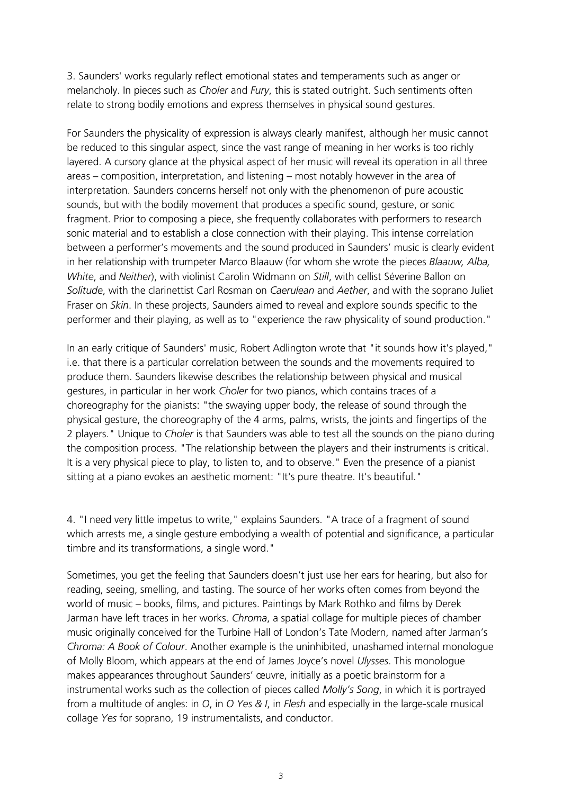3. Saunders' works regularly reflect emotional states and temperaments such as anger or melancholy. In pieces such as *Choler* and *Fury*, this is stated outright. Such sentiments often relate to strong bodily emotions and express themselves in physical sound gestures.

For Saunders the physicality of expression is always clearly manifest, although her music cannot be reduced to this singular aspect, since the vast range of meaning in her works is too richly layered. A cursory glance at the physical aspect of her music will reveal its operation in all three areas – composition, interpretation, and listening – most notably however in the area of interpretation. Saunders concerns herself not only with the phenomenon of pure acoustic sounds, but with the bodily movement that produces a specific sound, gesture, or sonic fragment. Prior to composing a piece, she frequently collaborates with performers to research sonic material and to establish a close connection with their playing. This intense correlation between a performer's movements and the sound produced in Saunders' music is clearly evident in her relationship with trumpeter Marco Blaauw (for whom she wrote the pieces *Blaauw, Alba, White*, and *Neither*), with violinist Carolin Widmann on *Still*, with cellist Séverine Ballon on *Solitude*, with the clarinettist Carl Rosman on *Caerulean* and *Aether*, and with the soprano Juliet Fraser on *Skin*. In these projects, Saunders aimed to reveal and explore sounds specific to the performer and their playing, as well as to "experience the raw physicality of sound production."

In an early critique of Saunders' music, Robert Adlington wrote that "it sounds how it's played," i.e. that there is a particular correlation between the sounds and the movements required to produce them. Saunders likewise describes the relationship between physical and musical gestures, in particular in her work *Choler* for two pianos, which contains traces of a choreography for the pianists: "the swaying upper body, the release of sound through the physical gesture, the choreography of the 4 arms, palms, wrists, the joints and fingertips of the 2 players." Unique to *Choler* is that Saunders was able to test all the sounds on the piano during the composition process. "The relationship between the players and their instruments is critical. It is a very physical piece to play, to listen to, and to observe." Even the presence of a pianist sitting at a piano evokes an aesthetic moment: "It's pure theatre. It's beautiful."

4. "I need very little impetus to write," explains Saunders. "A trace of a fragment of sound which arrests me, a single gesture embodying a wealth of potential and significance, a particular timbre and its transformations, a single word."

Sometimes, you get the feeling that Saunders doesn't just use her ears for hearing, but also for reading, seeing, smelling, and tasting. The source of her works often comes from beyond the world of music – books, films, and pictures. Paintings by Mark Rothko and films by Derek Jarman have left traces in her works. *Chroma*, a spatial collage for multiple pieces of chamber music originally conceived for the Turbine Hall of London's Tate Modern, named after Jarman's *Chroma: A Book of Colour*. Another example is the uninhibited, unashamed internal monologue of Molly Bloom, which appears at the end of James Joyce's novel *Ulysses*. This monologue makes appearances throughout Saunders' œuvre, initially as a poetic brainstorm for a instrumental works such as the collection of pieces called *Molly's Song*, in which it is portrayed from a multitude of angles: in *O*, in *O Yes & I*, in *Flesh* and especially in the large-scale musical collage *Yes* for soprano, 19 instrumentalists, and conductor.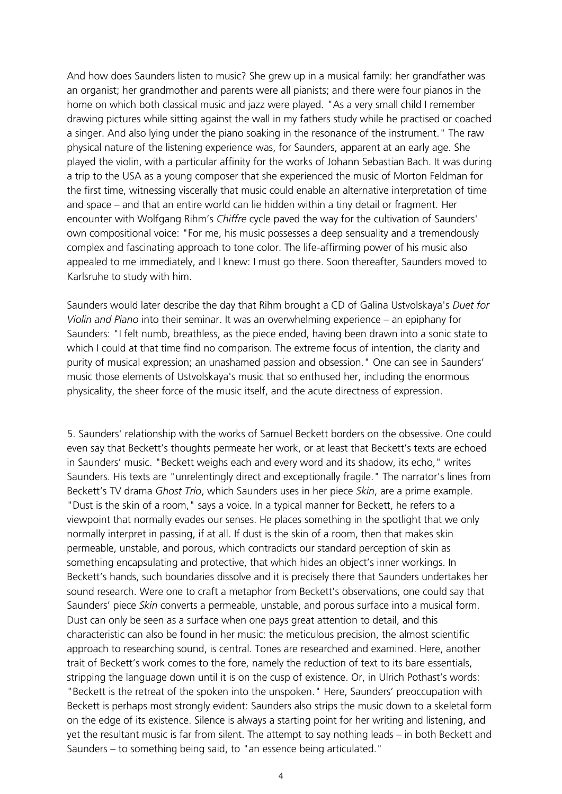And how does Saunders listen to music? She grew up in a musical family: her grandfather was an organist; her grandmother and parents were all pianists; and there were four pianos in the home on which both classical music and jazz were played. "As a very small child I remember drawing pictures while sitting against the wall in my fathers study while he practised or coached a singer. And also lying under the piano soaking in the resonance of the instrument." The raw physical nature of the listening experience was, for Saunders, apparent at an early age. She played the violin, with a particular affinity for the works of Johann Sebastian Bach. It was during a trip to the USA as a young composer that she experienced the music of Morton Feldman for the first time, witnessing viscerally that music could enable an alternative interpretation of time and space – and that an entire world can lie hidden within a tiny detail or fragment. Her encounter with Wolfgang Rihm's *Chiffre* cycle paved the way for the cultivation of Saunders' own compositional voice: "For me, his music possesses a deep sensuality and a tremendously complex and fascinating approach to tone color. The life-affirming power of his music also appealed to me immediately, and I knew: I must go there. Soon thereafter, Saunders moved to Karlsruhe to study with him.

Saunders would later describe the day that Rihm brought a CD of Galina Ustvolskaya's *Duet for Violin and Piano* into their seminar. It was an overwhelming experience – an epiphany for Saunders: "I felt numb, breathless, as the piece ended, having been drawn into a sonic state to which I could at that time find no comparison. The extreme focus of intention, the clarity and purity of musical expression; an unashamed passion and obsession." One can see in Saunders' music those elements of Ustvolskaya's music that so enthused her, including the enormous physicality, the sheer force of the music itself, and the acute directness of expression.

5. Saunders' relationship with the works of Samuel Beckett borders on the obsessive. One could even say that Beckett's thoughts permeate her work, or at least that Beckett's texts are echoed in Saunders' music. "Beckett weighs each and every word and its shadow, its echo," writes Saunders. His texts are "unrelentingly direct and exceptionally fragile." The narrator's lines from Beckett's TV drama *Ghost Trio*, which Saunders uses in her piece *Skin*, are a prime example. "Dust is the skin of a room," says a voice. In a typical manner for Beckett, he refers to a viewpoint that normally evades our senses. He places something in the spotlight that we only normally interpret in passing, if at all. If dust is the skin of a room, then that makes skin permeable, unstable, and porous, which contradicts our standard perception of skin as something encapsulating and protective, that which hides an object's inner workings. In Beckett's hands, such boundaries dissolve and it is precisely there that Saunders undertakes her sound research. Were one to craft a metaphor from Beckett's observations, one could say that Saunders' piece *Skin* converts a permeable, unstable, and porous surface into a musical form. Dust can only be seen as a surface when one pays great attention to detail, and this characteristic can also be found in her music: the meticulous precision, the almost scientific approach to researching sound, is central. Tones are researched and examined. Here, another trait of Beckett's work comes to the fore, namely the reduction of text to its bare essentials, stripping the language down until it is on the cusp of existence. Or, in Ulrich Pothast's words: "Beckett is the retreat of the spoken into the unspoken." Here, Saunders' preoccupation with Beckett is perhaps most strongly evident: Saunders also strips the music down to a skeletal form on the edge of its existence. Silence is always a starting point for her writing and listening, and yet the resultant music is far from silent. The attempt to say nothing leads – in both Beckett and Saunders – to something being said, to "an essence being articulated."